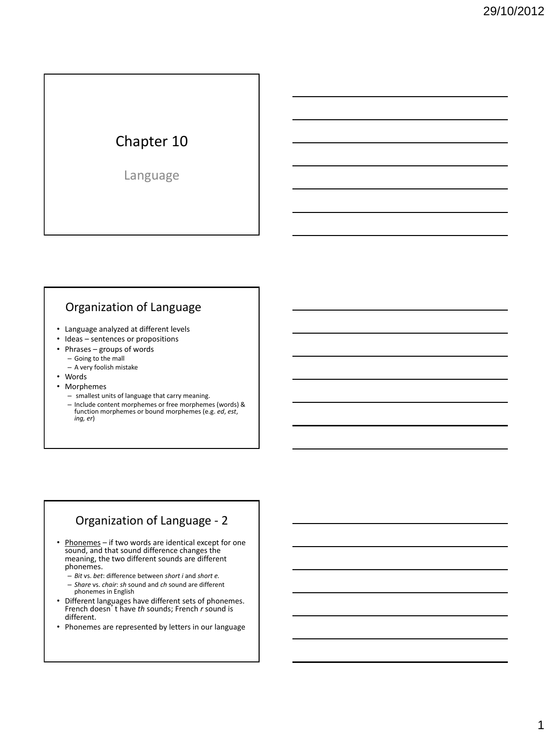# Chapter 10

Language

### Organization of Language

- Language analyzed at different levels
- Ideas sentences or propositions
- Phrases groups of words
	- Going to the mall
	- A very foolish mistake
- Words
- Morphemes
	- smallest units of language that carry meaning. – Include content morphemes or free morphemes (words) & function morphemes or bound morphemes (e.g. *ed*, *est*, *ing, er*)

#### Organization of Language - 2

- Phonemes if two words are identical except for one sound, and that sound difference changes the meaning, the two different sounds are different phonemes.
	- *Bit* vs. *bet*: difference between *short i* and *short e.*
	- *Share* vs. *chair*: *sh* sound and *ch* sound are different phonemes in English
- Different languages have different sets of phonemes. French doesn't have *th* sounds; French *r* sound is different.
- Phonemes are represented by letters in our language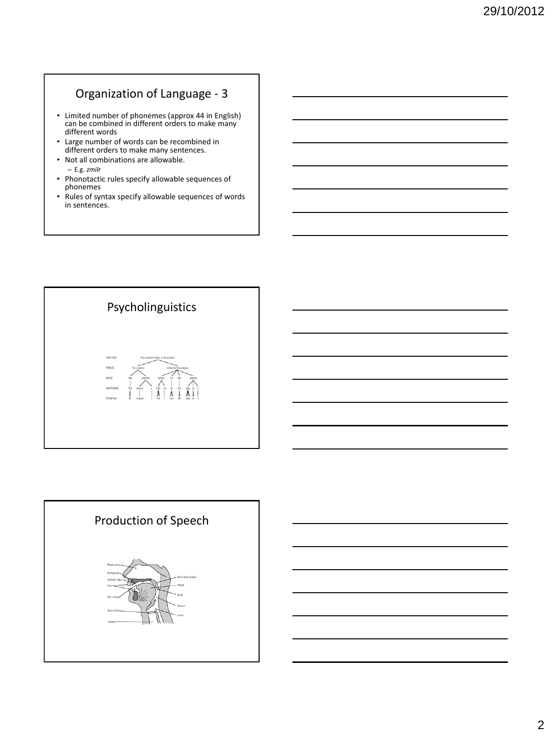# Organization of Language - 3

- Limited number of phonemes (approx 44 in English) can be combined in different orders to make many different words
- Large number of words can be recombined in different orders to make many sentences.
- Not all combinations are allowable. – E.g. *zmilr*
- Phonotactic rules specify allowable sequences of phonemes
- Rules of syntax specify allowable sequences of words in sentences.



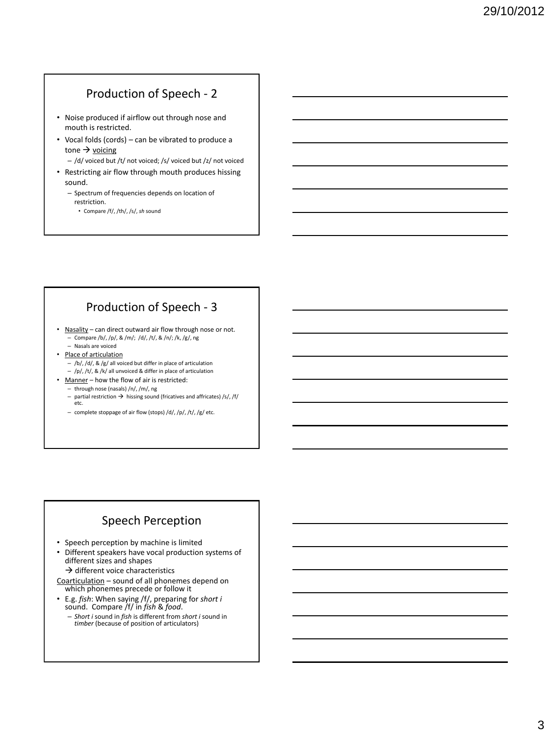## Production of Speech - 2

- Noise produced if airflow out through nose and mouth is restricted.
- Vocal folds (cords) can be vibrated to produce a tone  $\rightarrow$  voicing
	- /d/ voiced but /t/ not voiced; /s/ voiced but /z/ not voiced
- Restricting air flow through mouth produces hissing sound.
	- Spectrum of frequencies depends on location of restriction.
		- Compare /f/, /th/, /s/, *sh* sound

### Production of Speech - 3

- Nasality can direct outward air flow through nose or not. – Compare /b/, /p/, & /m/; /d/, /t/, & /n/; /k, /g/, ng
	- Nasals are voiced
- Place of articulation
	- $-$  /b/, /d/, & /g/ all voiced but differ in place of articulation – /p/, /t/, & /k/ all unvoiced & differ in place of articulation
- Manner how the flow of air is restricted:
	- through nose (nasals) /n/, /m/, ng
	- partial restriction  $\rightarrow$  hissing sound (fricatives and affricates) /s/, /f/ etc.
	- complete stoppage of air flow (stops) /d/, /p/, /t/, /g/ etc.

### Speech Perception

- Speech perception by machine is limited
- Different speakers have vocal production systems of different sizes and shapes  $\rightarrow$  different voice characteristics
- Coarticulation sound of all phonemes depend on which phonemes precede or follow it
- E.g. *fish*: When saying /f/, preparing for *short i* sound. Compare /f/ in *fish* & *food*.
	- *Short i* sound in *fish* is different from *short i* sound in *timber* (because of position of articulators)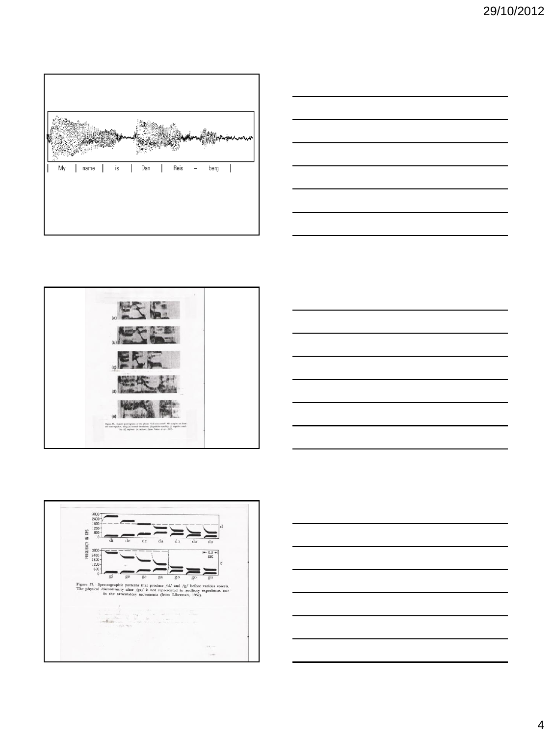









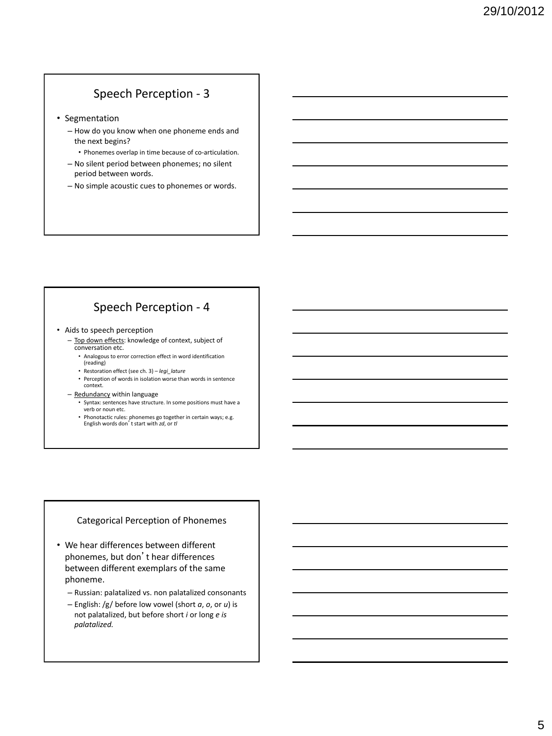## Speech Perception - 3

- Segmentation
	- How do you know when one phoneme ends and the next begins?
	- Phonemes overlap in time because of co-articulation. – No silent period between phonemes; no silent
	- period between words. – No simple acoustic cues to phonemes or words.

## Speech Perception - 4

- Aids to speech perception
	- Top down effects: knowledge of context, subject of conversation etc.
		- Analogous to error correction effect in word identification (reading)
		- Restoration effect (see ch. 3) *legi\_lature*
		- Perception of words in isolation worse than words in sentence context.
	- Redundancy within language
		- Syntax: sentences have structure. In some positions must have a verb or noun etc.
		- Phonotactic rules: phonemes go together in certain ways; e.g. English words don't start with *zd*, or *tl*

#### Categorical Perception of Phonemes

- We hear differences between different phonemes, but don't hear differences between different exemplars of the same phoneme.
	- Russian: palatalized vs. non palatalized consonants
	- English: /g/ before low vowel (short *a*, *o*, or *u*) is not palatalized, but before short *i* or long *e is palatalized.*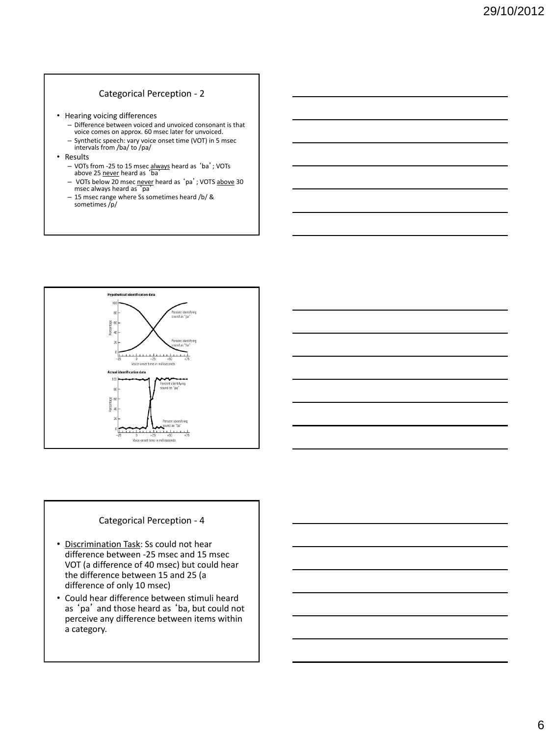#### Categorical Perception - 2

- Hearing voicing differences
	- Difference between voiced and unvoiced consonant is that voice comes on approx. 60 msec later for unvoiced.
	- Synthetic speech: vary voice onset time (VOT) in 5 msec intervals from /ba/ to /pa/
- Results
	- VOTs from -25 to 15 msec always heard as 'ba'; VOTs<br>above 25 never heard as 'ba'
	- VOTs below 20 msec never heard as 'pa'; VOTS <u>above</u> 30<br>msec always heard as 'pa'
	- 15 msec range where Ss sometimes heard /b/ & sometimes /p/





#### Categorical Perception - 4

- Discrimination Task: Ss could not hear difference between -25 msec and 15 msec VOT (a difference of 40 msec) but could hear the difference between 15 and 25 (a difference of only 10 msec)
- Could hear difference between stimuli heard as 'pa' and those heard as 'ba, but could not perceive any difference between items within a category.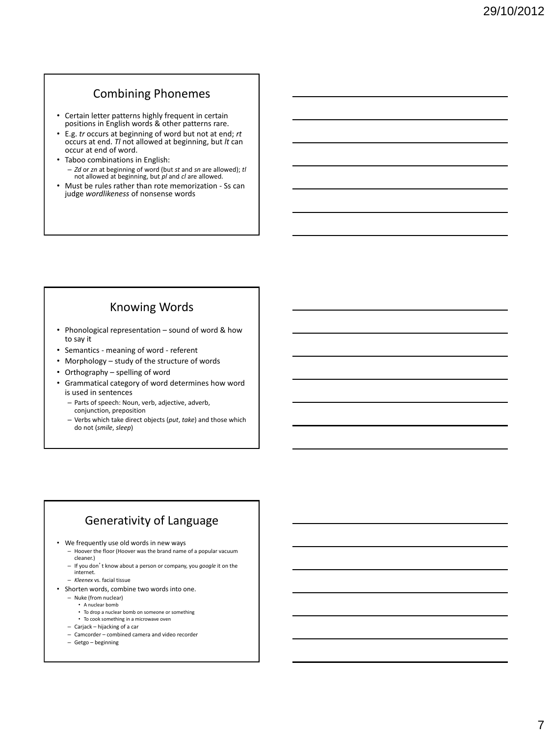#### Combining Phonemes

- Certain letter patterns highly frequent in certain positions in English words & other patterns rare.
- E.g. *tr* occurs at beginning of word but not at end; *rt*  occurs at end. *Tl* not allowed at beginning, but *lt* can occur at end of word.
- Taboo combinations in English:
	- *Zd* or *zn* at beginning of word (but *st* and *sn* are allowed); *tl* not allowed at beginning, but *pl* and *cl* are allowed.
- Must be rules rather than rote memorization Ss can judge *wordlikeness* of nonsense words

### Knowing Words

- Phonological representation sound of word & how to say it
- Semantics meaning of word referent
- Morphology study of the structure of words
- Orthography spelling of word
- Grammatical category of word determines how word is used in sentences
	- Parts of speech: Noun, verb, adjective, adverb, conjunction, preposition
	- Verbs which take direct objects (*put*, *take*) and those which do not (*smile*, *sleep*)

### Generativity of Language

- We frequently use old words in new ways
	- Hoover the floor (Hoover was the brand name of a popular vacuum cleaner.)
	- If you don't know about a person or company, you *google* it on the
	- internet. – *Kleenex* vs. facial tissue
	-
- Shorten words, combine two words into one.
	- Nuke (from nuclear)
		- A nuclear bomb
		- To drop a nuclear bomb on someone or something • To cook something in a microwave oven
	- Carjack hijacking of a car
	- Camcorder combined camera and video recorder
	- Getgo beginning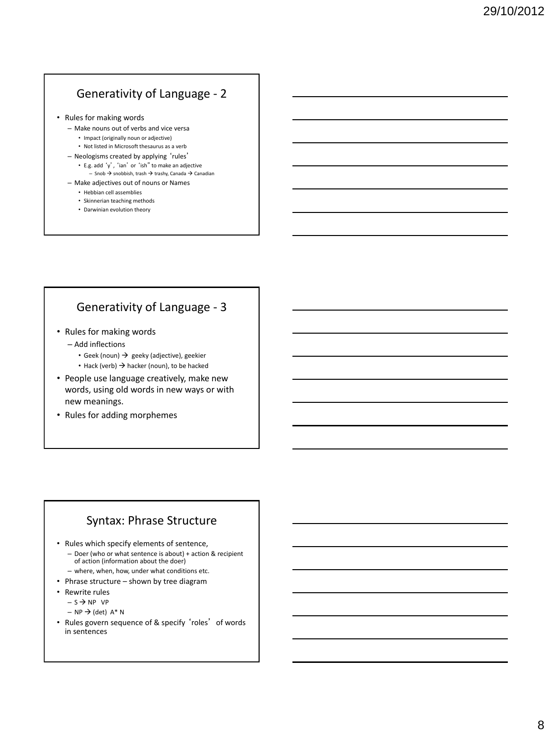## Generativity of Language - 2

- Rules for making words
	- Make nouns out of verbs and vice versa
		- Impact (originally noun or adjective)
		- Not listed in Microsoft thesaurus as a verb
	- Neologisms created by applying 'rules'
		- E.g. add 'y', 'ian' or 'ish" to make an adjective – Snob  $\Rightarrow$  snobbish, trash  $\Rightarrow$  trashy, Canada  $\Rightarrow$  Canadian
	- Make adjectives out of nouns or Names
		- Hebbian cell assemblies
		- Skinnerian teaching methods
		- Darwinian evolution theory

## Generativity of Language - 3

- Rules for making words
	- Add inflections
		- Geek (noun)  $\rightarrow$  geeky (adjective), geekier
		- Hack (verb)  $\rightarrow$  hacker (noun), to be hacked
- People use language creatively, make new words, using old words in new ways or with new meanings.
- Rules for adding morphemes

#### Syntax: Phrase Structure

- Rules which specify elements of sentence,
	- Doer (who or what sentence is about) + action & recipient of action (information about the doer)
	- where, when, how, under what conditions etc.
- Phrase structure shown by tree diagram
- Rewrite rules
	- $S \rightarrow NP VP$
	- $NP \rightarrow (det) A^* N$
- Rules govern sequence of & specify 'roles' of words in sentences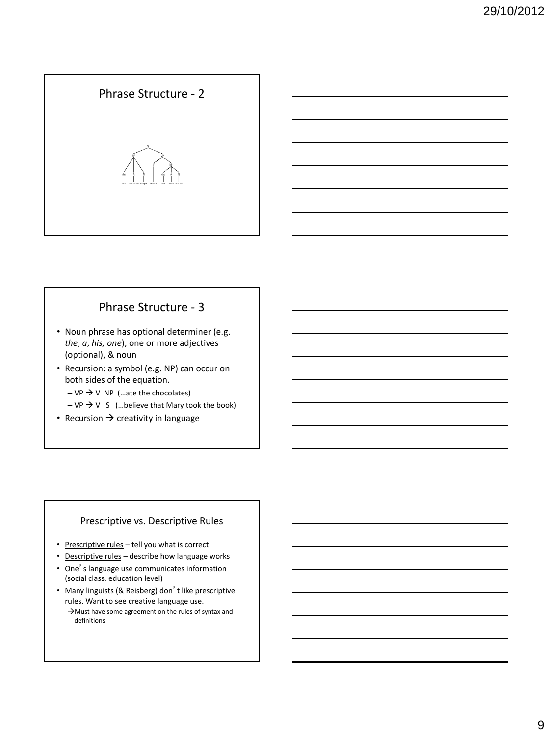# Phrase Structure - 2

## Phrase Structure - 3

- Noun phrase has optional determiner (e.g. *the*, *a*, *his, one*), one or more adjectives (optional), & noun
- Recursion: a symbol (e.g. NP) can occur on both sides of the equation.
	- $-VP \rightarrow V NP$  (...ate the chocolates)
	- $-VP \rightarrow V S$  (...believe that Mary took the book)
- Recursion  $\rightarrow$  creativity in language

#### Prescriptive vs. Descriptive Rules

- Prescriptive rules tell you what is correct
- Descriptive rules describe how language works
- One's language use communicates information (social class, education level)
- Many linguists (& Reisberg) don't like prescriptive rules. Want to see creative language use.
	- $\rightarrow$  Must have some agreement on the rules of syntax and definitions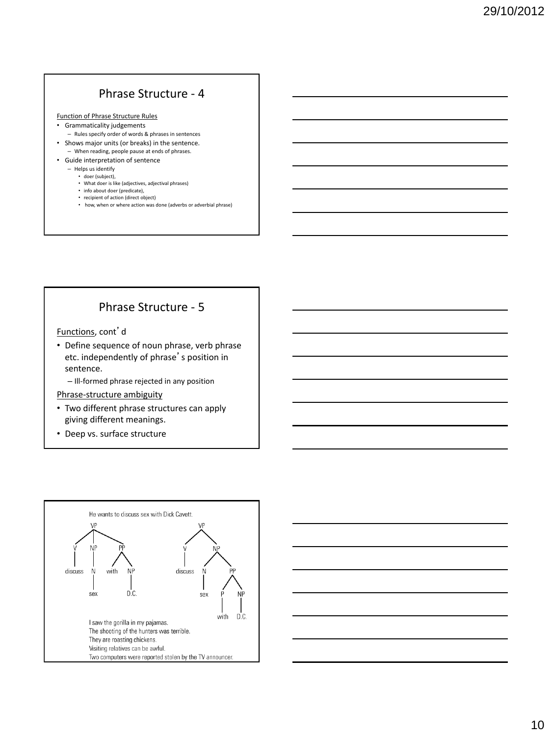#### Phrase Structure - 4

Function of Phrase Structure Rules

- Grammaticality judgements
- Rules specify order of words & phrases in sentences • Shows major units (or breaks) in the sentence.
- When reading, people pause at ends of phrases. • Guide interpretation of sentence
	- Helps us identify
		- doer (subject),
		- What doer is like (adjectives, adjectival phrases)
		- info about doer (predicate),
		- recipient of action (direct object) • how, when or where action was done (adverbs or adverbial phrase)

#### Phrase Structure - 5

Functions, cont'd

- Define sequence of noun phrase, verb phrase etc. independently of phrase's position in sentence.
	- Ill-formed phrase rejected in any position

Phrase-structure ambiguity

- Two different phrase structures can apply giving different meanings.
- Deep vs. surface structure



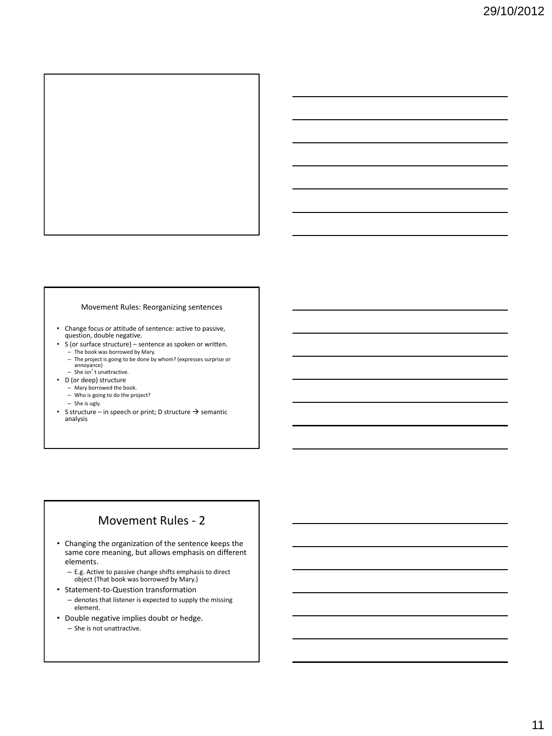

#### Movement Rules: Reorganizing sentences

- Change focus or attitude of sentence: active to passive, question, double negative.
- S (or surface structure) sentence as spoken or written.
	- The book was borrowed by Mary. The project is going to be done by whom? (expresses surprise or annoyance)
	- She isn't unattractive.
- D (or deep) structure
	- Mary borrowed the book. – Who is going to do the project?
	-
	- She is ugly.
- S structure in speech or print; D structure  $\rightarrow$  semantic analysis

#### Movement Rules - 2

- Changing the organization of the sentence keeps the same core meaning, but allows emphasis on different elements.
	- E.g. Active to passive change shifts emphasis to direct object (That book was borrowed by Mary.)
- Statement-to-Question transformation
	- denotes that listener is expected to supply the missing element.
- Double negative implies doubt or hedge.
	- She is not unattractive.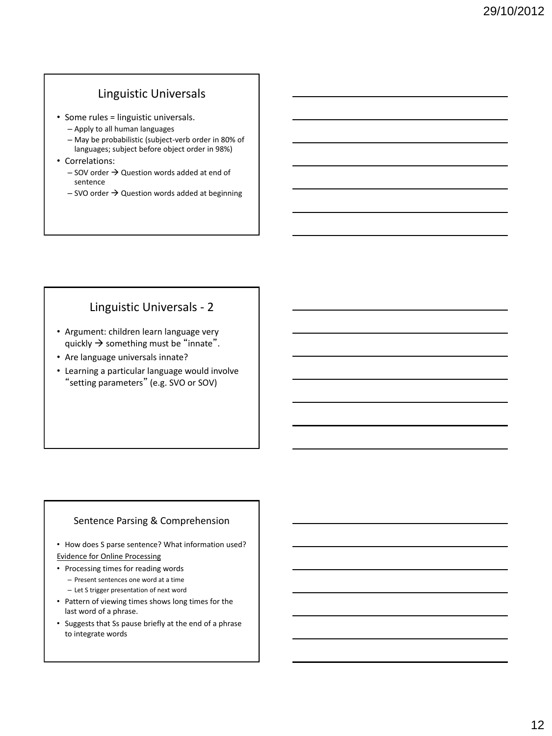#### Linguistic Universals

- Some rules = linguistic universals.
	- Apply to all human languages
	- May be probabilistic (subject-verb order in 80% of languages; subject before object order in 98%)
- Correlations:
	- $-$  SOV order  $\rightarrow$  Question words added at end of sentence
	- $-$  SVO order  $\rightarrow$  Question words added at beginning

#### Linguistic Universals - 2

- Argument: children learn language very quickly  $\rightarrow$  something must be "innate".
- Are language universals innate?
- Learning a particular language would involve "setting parameters" (e.g. SVO or SOV)

#### Sentence Parsing & Comprehension

- How does S parse sentence? What information used? Evidence for Online Processing
- Processing times for reading words – Present sentences one word at a time
	- Let S trigger presentation of next word
- Pattern of viewing times shows long times for the last word of a phrase.
- Suggests that Ss pause briefly at the end of a phrase to integrate words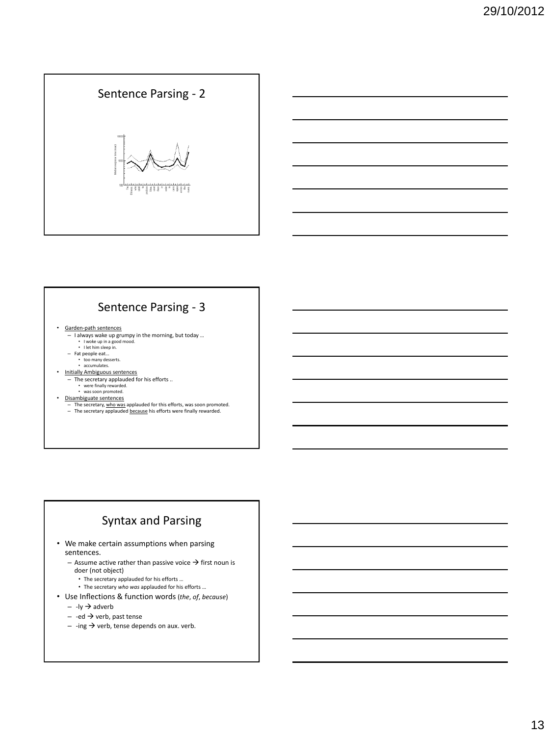# Sentence Parsing - 2

## Sentence Parsing - 3

- Garden-path sentences
	- I always wake up grumpy in the morning, but today …
	- I woke up in a good mood. I let him sleep in.
	- Fat people eat…
		-
	- too many desserts. accumulates.
- Initially Ambiguous sentences
- The secretary applauded for his efforts .. were finally rewarded. was soon promoted. Disambiguate sentences
	-
	-
	-
	- The secretary, who was applauded for this efforts, was soon promoted. The secretary applauded because his efforts were finally rewarded.

# Syntax and Parsing

- We make certain assumptions when parsing sentences.
	- Assume active rather than passive voice  $\rightarrow$  first noun is doer (not object)
		- The secretary applauded for his efforts …
		- The secretary *who was* applauded for his efforts …
- Use Inflections & function words (*the*, *of*, *because*)
	- $-$  -ly  $\rightarrow$  adverb
	- $-$  -ed  $\rightarrow$  verb, past tense
	- $-$  -ing  $\rightarrow$  verb, tense depends on aux. verb.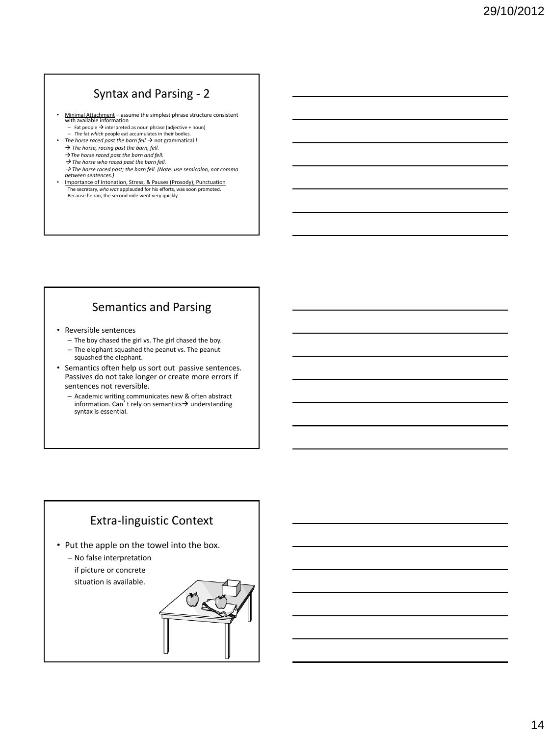# Syntax and Parsing - 2

- Minimal Attachment assume the simplest phrase structure consistent with available information
	- $-$  Fat people  $\rightarrow$  interpreted as noun phrase (adjective + noun)
- *The* fat *which* people eat accumulates in their bodies. • *The horse raced past the barn fell*  $\rightarrow$  not grammatical !
	- → *The horse, racing past the barn, fell.*
	- $\rightarrow$  The horse raced past the barn and fell.
	- $\rightarrow$  The horse who raced past the barn fell.
	- *The horse raced past; the barn fell. (Note: use semicolon, not comma between sentences.)*
- Importance of Intonation, Stress, & Pauses (Prosody), Punctuation The secretary, *who was* applauded for his efforts, was soon promoted. Because he ran, the second mile went very quickly

## Semantics and Parsing

- Reversible sentences
	- The boy chased the girl vs. The girl chased the boy.
	- The elephant squashed the peanut vs. The peanut squashed the elephant.
- Semantics often help us sort out passive sentences. Passives do not take longer or create more errors if sentences not reversible.
	- Academic writing communicates new & often abstract information. Can't rely on semantics  $\rightarrow$  understanding syntax is essential.

### Extra-linguistic Context

- Put the apple on the towel into the box.
	- No false interpretation if picture or concrete situation is available.

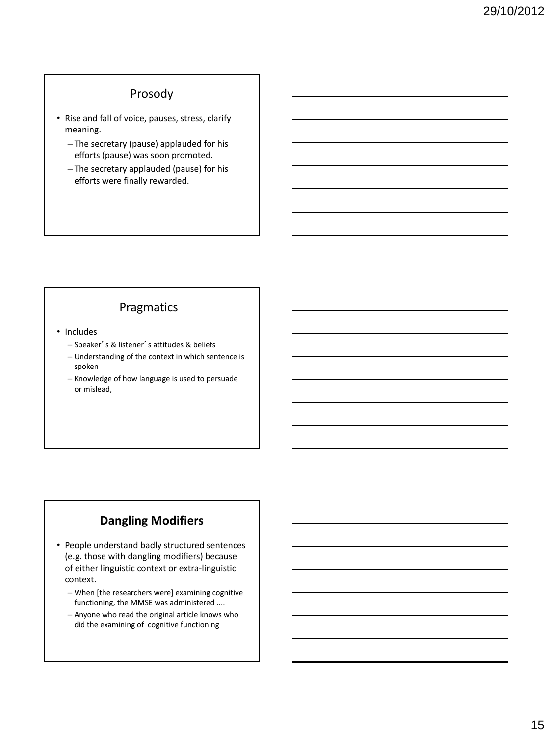#### Prosody

- Rise and fall of voice, pauses, stress, clarify meaning.
	- The secretary (pause) applauded for his efforts (pause) was soon promoted.
	- The secretary applauded (pause) for his efforts were finally rewarded.

### Pragmatics

- Includes
	- Speaker's & listener's attitudes & beliefs
	- Understanding of the context in which sentence is spoken
	- Knowledge of how language is used to persuade or mislead,

# **Dangling Modifiers**

- People understand badly structured sentences (e.g. those with dangling modifiers) because of either linguistic context or extra-linguistic context.
	- When [the researchers were] examining cognitive functioning, the MMSE was administered ....
	- Anyone who read the original article knows who did the examining of cognitive functioning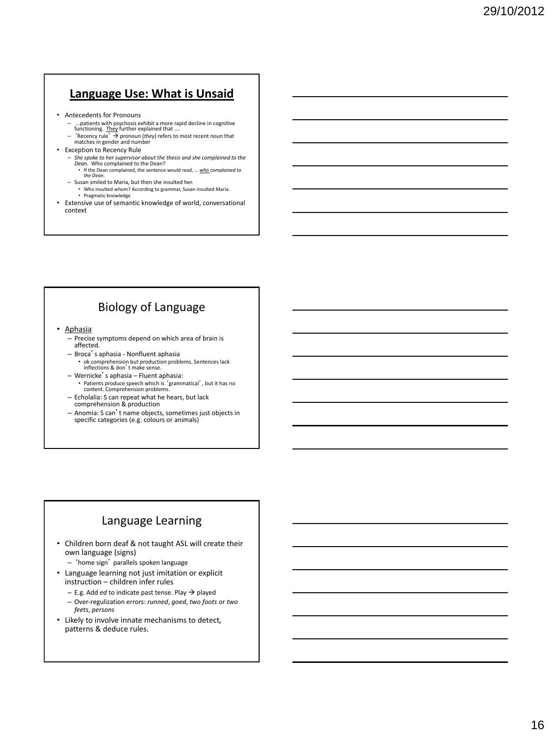#### **Language Use: What is Unsaid**

- Antecedents for Pronouns
	- ...patients with psychosis exhibit a more rapid decline in cognitive
	- functioning. They further explained that ....<br>- 'Recency rule' → pronoun (*they*) refers to most recent noun that<br>matches in gender and number
- Exception to Recency Rule
	- *She spoke to her supervisor about the thesis and she complained to the Dean.* Who complained to the Dean? • If the Dean complained, the sentence would read, … *who complained to*
	- *the Dean.* – Susan smiled to Maria, but then she insulted her.
		- Who insulted whom? According to grammar, Susan insulted Maria. Pragmatic knowledge
- Extensive use of semantic knowledge of world, conversational context

# Biology of Language

- Aphasia
	- Precise symptoms depend on which area of brain is affected.
	- Broca's aphasia Nonfluent aphasia • ok comprehension but production problems. Sentences lack inflections & don't make sense.
	- Wernicke's aphasia Fluent aphasia: • Patients produce speech which is 'grammatical', but it has no content. Comprehension problems.
	- Echolalia: S can repeat what he hears, but lack comprehension & production
	- Anomia: S can't name objects, sometimes just objects in specific categories (e.g. colours or animals)

# Language Learning

- Children born deaf & not taught ASL will create their own language (signs)
	- 'home sign' parallels spoken language
- Language learning not just imitation or explicit instruction – children infer rules
	- $-$  E.g. Add *ed* to indicate past tense. Play  $\rightarrow$  played
	- Over-regulization errors: *runned*, *goed*, *two foots* or *two feets*, *persons*
- Likely to involve innate mechanisms to detect*,*  patterns & deduce rules.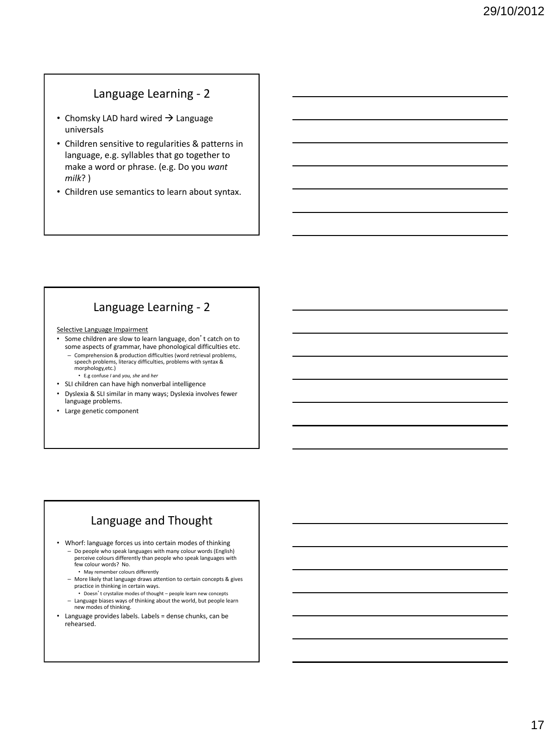#### Language Learning - 2

- Chomsky LAD hard wired  $\rightarrow$  Language universals
- Children sensitive to regularities & patterns in language, e.g. syllables that go together to make a word or phrase. (e.g. Do you *want milk*? )
- Children use semantics to learn about syntax.

### Language Learning - 2

#### Selective Language Impairment

- Some children are slow to learn language, don't catch on to some aspects of grammar, have phonological difficulties etc.
- Comprehension & production difficulties (word retrieval problems, speech problems, literacy difficulties, problems with syntax & morphology,etc.)
	- E.g confuse *I* and *you, she* and *her*
- SLI children can have high nonverbal intelligence
- Dyslexia & SLI similar in many ways; Dyslexia involves fewer language problems.
- Large genetic component

# Language and Thought

- Whorf: language forces us into certain modes of thinking
	- Do people who speak languages with many colour words (English) perceive colours differently than people who speak languages with few colour words? No.
	- May remember colours differently
	- More likely that language draws attention to certain concepts & gives practice in thinking in certain ways.
	- Doesn't crystalize modes of thought people learn new concepts – Language biases ways of thinking about the world, but people learn new modes of thinking.
- Language provides labels. Labels = dense chunks, can be rehearsed.